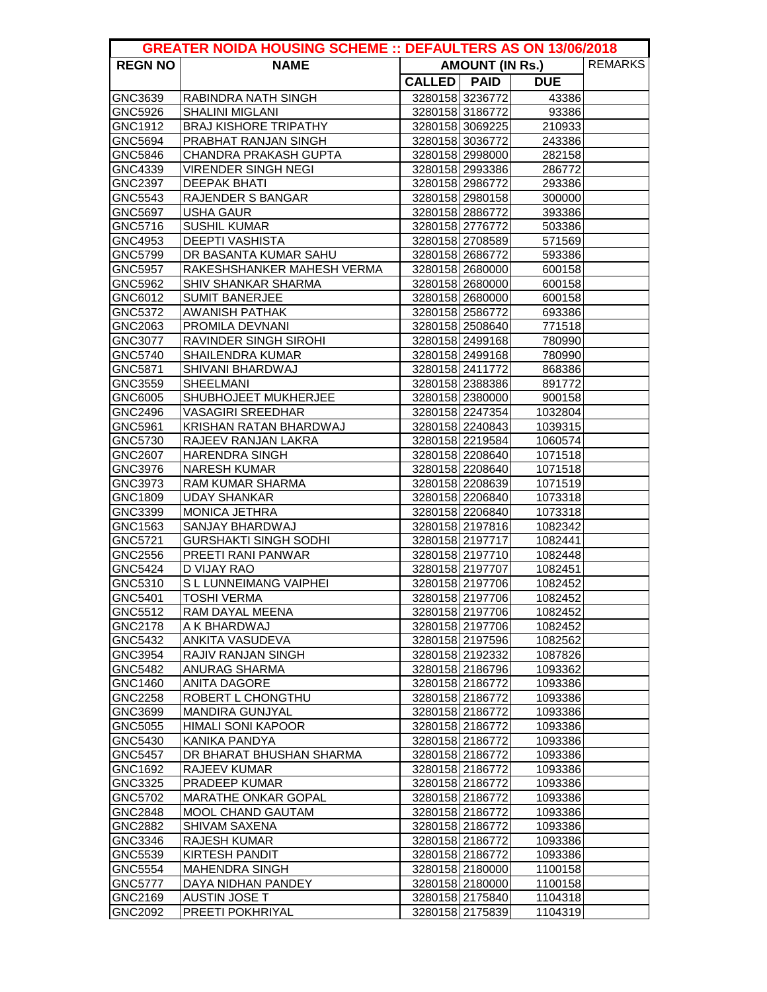| <b>GREATER NOIDA HOUSING SCHEME :: DEFAULTERS AS ON 13/06/2018</b> |                                                 |                                          |                                    |                    |  |  |
|--------------------------------------------------------------------|-------------------------------------------------|------------------------------------------|------------------------------------|--------------------|--|--|
| <b>REGN NO</b>                                                     | <b>NAME</b>                                     | <b>REMARKS</b><br><b>AMOUNT (IN Rs.)</b> |                                    |                    |  |  |
|                                                                    |                                                 | CALLED   PAID                            |                                    | <b>DUE</b>         |  |  |
| GNC3639                                                            | RABINDRA NATH SINGH                             |                                          | 3280158 3236772                    | 43386              |  |  |
| GNC5926                                                            | <b>SHALINI MIGLANI</b>                          |                                          | 3280158 3186772                    | 93386              |  |  |
| GNC1912                                                            | <b>BRAJ KISHORE TRIPATHY</b>                    |                                          | 3280158 3069225                    | 210933             |  |  |
| GNC5694                                                            | PRABHAT RANJAN SINGH                            |                                          | 3280158 3036772                    | 243386             |  |  |
| GNC5846                                                            | <b>CHANDRA PRAKASH GUPTA</b>                    |                                          | 3280158 2998000                    | 282158             |  |  |
| GNC4339                                                            | <b>VIRENDER SINGH NEGI</b>                      |                                          | 3280158 2993386                    | 286772             |  |  |
| GNC2397                                                            | <b>DEEPAK BHATI</b>                             |                                          | 3280158 2986772                    | 293386             |  |  |
| GNC5543                                                            | <b>RAJENDER S BANGAR</b>                        |                                          | 3280158 2980158                    | 300000             |  |  |
| GNC5697                                                            | <b>USHA GAUR</b>                                |                                          | 3280158 2886772                    | 393386             |  |  |
| GNC5716                                                            | <b>SUSHIL KUMAR</b>                             |                                          | 3280158 2776772                    | 503386             |  |  |
| GNC4953                                                            | <b>DEEPTI VASHISTA</b>                          |                                          | 3280158 2708589                    | 571569             |  |  |
| GNC5799                                                            | DR BASANTA KUMAR SAHU                           |                                          | 3280158 2686772                    | 593386             |  |  |
| <b>GNC5957</b>                                                     | RAKESHSHANKER MAHESH VERMA                      |                                          | 3280158 2680000                    | 600158             |  |  |
| GNC5962                                                            | <b>SHIV SHANKAR SHARMA</b>                      |                                          | 3280158 2680000                    | 600158             |  |  |
| GNC6012                                                            | <b>SUMIT BANERJEE</b>                           |                                          | 3280158 2680000                    | 600158             |  |  |
| GNC5372                                                            | <b>AWANISH PATHAK</b>                           |                                          | 3280158 2586772                    | 693386             |  |  |
| GNC2063<br>GNC3077                                                 | <b>PROMILA DEVNANI</b><br>RAVINDER SINGH SIROHI |                                          | 3280158 2508640<br>3280158 2499168 | 771518<br>780990   |  |  |
| GNC5740                                                            | <b>SHAILENDRA KUMAR</b>                         |                                          | 3280158 2499168                    | 780990             |  |  |
| GNC5871                                                            | SHIVANI BHARDWAJ                                |                                          | 3280158 2411772                    | 868386             |  |  |
| GNC3559                                                            | <b>SHEELMANI</b>                                |                                          | 3280158 2388386                    | 891772             |  |  |
| GNC6005                                                            | SHUBHOJEET MUKHERJEE                            |                                          | 3280158 2380000                    | 900158             |  |  |
| GNC2496                                                            | <b>VASAGIRI SREEDHAR</b>                        |                                          | 3280158 2247354                    | 1032804            |  |  |
| GNC5961                                                            | KRISHAN RATAN BHARDWAJ                          |                                          | 3280158 2240843                    | 1039315            |  |  |
| GNC5730                                                            | RAJEEV RANJAN LAKRA                             |                                          | 3280158 2219584                    | 1060574            |  |  |
| GNC2607                                                            | <b>HARENDRA SINGH</b>                           |                                          | 3280158 2208640                    | 1071518            |  |  |
| GNC3976                                                            | <b>NARESH KUMAR</b>                             |                                          | 3280158 2208640                    | 1071518            |  |  |
| GNC3973                                                            | <b>RAM KUMAR SHARMA</b>                         |                                          | 3280158 2208639                    | 1071519            |  |  |
| GNC1809                                                            | <b>UDAY SHANKAR</b>                             |                                          | 3280158 2206840                    | 1073318            |  |  |
| GNC3399                                                            | <b>MONICA JETHRA</b>                            |                                          | 3280158 2206840                    | 1073318            |  |  |
| GNC1563                                                            | SANJAY BHARDWAJ                                 |                                          | 3280158 2197816                    | 1082342            |  |  |
| GNC5721                                                            | <b>GURSHAKTI SINGH SODHI</b>                    |                                          | 3280158 2197717                    | 1082441            |  |  |
| GNC2556                                                            | PREETI RANI PANWAR                              |                                          | 3280158 2197710                    | 1082448            |  |  |
| GNC5424                                                            | D VIJAY RAO                                     |                                          | 3280158 2197707                    | 1082451            |  |  |
| GNC5310                                                            | S L LUNNEIMANG VAIPHEI                          |                                          | 3280158 2197706                    | 1082452            |  |  |
| GNC5401                                                            | <b>TOSHI VERMA</b>                              |                                          | 3280158 2197706                    | 1082452            |  |  |
| GNC5512                                                            | RAM DAYAL MEENA                                 |                                          | 3280158 2197706                    | 1082452            |  |  |
| GNC2178                                                            | A K BHARDWAJ                                    |                                          | 3280158 2197706                    | 1082452            |  |  |
| GNC5432                                                            | ANKITA VASUDEVA                                 |                                          | 3280158 2197596                    | 1082562            |  |  |
| GNC3954                                                            | RAJIV RANJAN SINGH                              |                                          | 3280158 2192332                    | 1087826            |  |  |
| <b>GNC5482</b>                                                     | <b>ANURAG SHARMA</b>                            |                                          | 3280158 2186796                    | 1093362            |  |  |
| GNC1460                                                            | <b>ANITA DAGORE</b>                             |                                          | 3280158 2186772                    | 1093386            |  |  |
| <b>GNC2258</b>                                                     | ROBERT L CHONGTHU                               |                                          | 3280158 2186772                    | 1093386            |  |  |
| GNC3699                                                            | <b>MANDIRA GUNJYAL</b>                          |                                          | 3280158 2186772                    | 1093386            |  |  |
| GNC5055                                                            | <b>HIMALI SONI KAPOOR</b>                       |                                          | 3280158 2186772                    | 1093386            |  |  |
| GNC5430                                                            | KANIKA PANDYA                                   |                                          | 3280158 2186772                    | 1093386            |  |  |
| GNC5457                                                            | DR BHARAT BHUSHAN SHARMA                        |                                          | 3280158 2186772                    | 1093386            |  |  |
| GNC1692                                                            | RAJEEV KUMAR                                    |                                          | 3280158 2186772                    | 1093386            |  |  |
| GNC3325                                                            | PRADEEP KUMAR                                   |                                          | 3280158 2186772                    | 1093386            |  |  |
| GNC5702                                                            | <b>MARATHE ONKAR GOPAL</b>                      |                                          | 3280158 2186772                    | 1093386            |  |  |
| GNC2848                                                            | <b>MOOL CHAND GAUTAM</b>                        |                                          | 3280158 2186772<br>3280158 2186772 | 1093386            |  |  |
| GNC2882<br>GNC3346                                                 | SHIVAM SAXENA<br>RAJESH KUMAR                   |                                          | 3280158 2186772                    | 1093386<br>1093386 |  |  |
| GNC5539                                                            | <b>KIRTESH PANDIT</b>                           |                                          | 3280158 2186772                    | 1093386            |  |  |
| <b>GNC5554</b>                                                     | <b>MAHENDRA SINGH</b>                           |                                          | 3280158 2180000                    | 1100158            |  |  |
| <b>GNC5777</b>                                                     | DAYA NIDHAN PANDEY                              |                                          | 3280158 2180000                    | 1100158            |  |  |
| GNC2169                                                            | <b>AUSTIN JOSE T</b>                            |                                          | 3280158 2175840                    | 1104318            |  |  |
| GNC2092                                                            | PREETI POKHRIYAL                                |                                          | 3280158 2175839                    | 1104319            |  |  |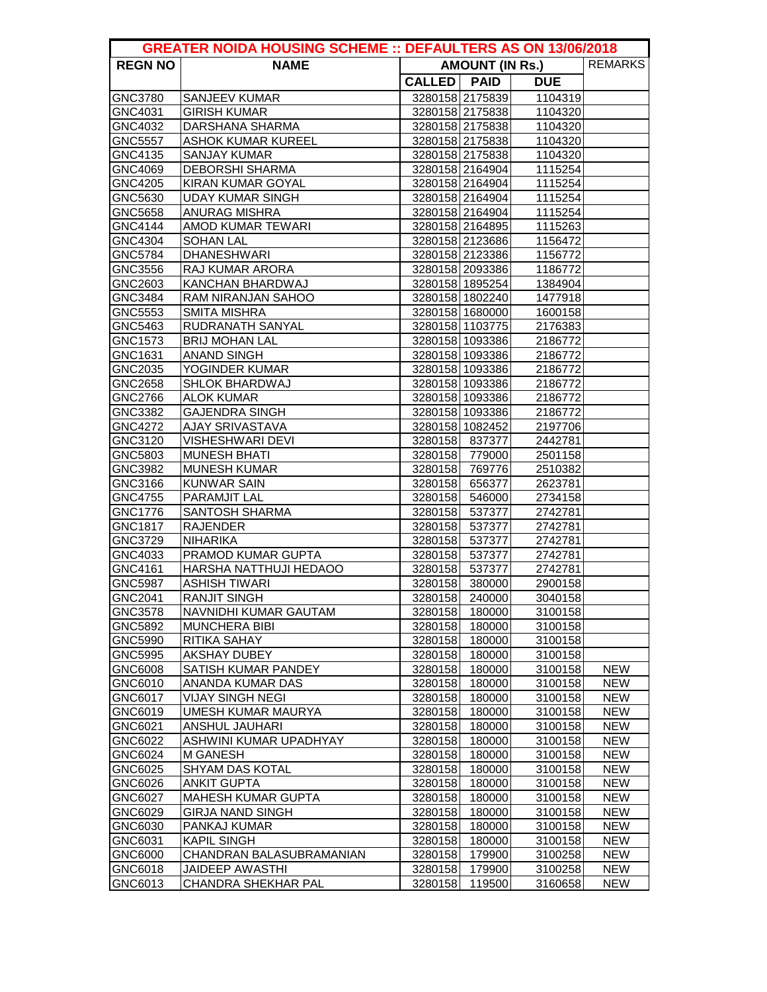| <b>GREATER NOIDA HOUSING SCHEME :: DEFAULTERS AS ON 13/06/2018</b> |                                              |                                          |                          |                    |            |  |
|--------------------------------------------------------------------|----------------------------------------------|------------------------------------------|--------------------------|--------------------|------------|--|
| <b>REGN NO</b>                                                     | <b>NAME</b>                                  | <b>REMARKS</b><br><b>AMOUNT (IN Rs.)</b> |                          |                    |            |  |
|                                                                    |                                              | CALLED   PAID                            |                          | <b>DUE</b>         |            |  |
| GNC3780                                                            | <b>SANJEEV KUMAR</b>                         |                                          | 3280158 2175839          | 1104319            |            |  |
| GNC4031                                                            | <b>GIRISH KUMAR</b>                          |                                          | 3280158 2175838          | 1104320            |            |  |
| GNC4032                                                            | <b>DARSHANA SHARMA</b>                       |                                          | 3280158 2175838          | 1104320            |            |  |
| <b>GNC5557</b>                                                     | <b>ASHOK KUMAR KUREEL</b>                    |                                          | 3280158 2175838          | 1104320            |            |  |
| GNC4135                                                            | <b>SANJAY KUMAR</b>                          |                                          | 3280158 2175838          | 1104320            |            |  |
| GNC4069                                                            | <b>DEBORSHI SHARMA</b>                       |                                          | 3280158 2164904          | 1115254            |            |  |
| GNC4205                                                            | KIRAN KUMAR GOYAL                            |                                          | 3280158 2164904          | 1115254            |            |  |
| GNC5630                                                            | <b>UDAY KUMAR SINGH</b>                      |                                          | 3280158 2164904          | 1115254            |            |  |
| GNC5658                                                            | <b>ANURAG MISHRA</b>                         |                                          | 3280158 2164904          | 1115254            |            |  |
| <b>GNC4144</b>                                                     | <b>AMOD KUMAR TEWARI</b>                     |                                          | 3280158 2164895          | 1115263            |            |  |
| GNC4304                                                            | <b>SOHAN LAL</b>                             |                                          | 3280158 2123686          | 1156472            |            |  |
| GNC5784                                                            | <b>DHANESHWARI</b>                           |                                          | 3280158 2123386          | 1156772            |            |  |
| GNC3556                                                            | <b>RAJ KUMAR ARORA</b>                       |                                          | 3280158 2093386          | 1186772            |            |  |
| GNC2603                                                            | <b>KANCHAN BHARDWAJ</b>                      |                                          | 3280158 1895254          | 1384904            |            |  |
| GNC3484                                                            | <b>RAM NIRANJAN SAHOO</b>                    |                                          | 3280158 1802240          | 1477918            |            |  |
| GNC5553                                                            | <b>SMITA MISHRA</b>                          |                                          | 3280158 1680000          | 1600158            |            |  |
| GNC5463                                                            | <b>RUDRANATH SANYAL</b>                      |                                          | 3280158 1103775          | 2176383            |            |  |
| GNC1573                                                            | <b>BRIJ MOHAN LAL</b>                        |                                          | 3280158 1093386          | 2186772            |            |  |
| GNC1631                                                            | <b>ANAND SINGH</b>                           |                                          | 3280158 1093386          | 2186772            |            |  |
| GNC2035                                                            | YOGINDER KUMAR                               |                                          | 3280158 1093386          | 2186772            |            |  |
| <b>GNC2658</b>                                                     | <b>SHLOK BHARDWAJ</b>                        |                                          | 3280158 1093386          | 2186772            |            |  |
| <b>GNC2766</b>                                                     | <b>ALOK KUMAR</b>                            |                                          | 3280158 1093386          | 2186772            |            |  |
| GNC3382                                                            | <b>GAJENDRA SINGH</b>                        |                                          | 3280158 1093386          | 2186772            |            |  |
| GNC4272                                                            | <b>AJAY SRIVASTAVA</b>                       |                                          | 3280158 1082452          | 2197706            |            |  |
| GNC3120                                                            | <b>VISHESHWARI DEVI</b>                      |                                          | 3280158 837377           | 2442781            |            |  |
| GNC5803                                                            | <b>MUNESH BHATI</b>                          |                                          | 3280158 779000           | 2501158            |            |  |
| GNC3982                                                            | <b>MUNESH KUMAR</b>                          |                                          | 3280158 769776           | 2510382            |            |  |
| GNC3166                                                            | <b>KUNWAR SAIN</b>                           |                                          | 3280158 656377           | 2623781            |            |  |
| <b>GNC4755</b>                                                     | <b>PARAMJIT LAL</b><br><b>SANTOSH SHARMA</b> |                                          | 3280158 546000           | 2734158            |            |  |
| <b>GNC1776</b><br>GNC1817                                          | <b>RAJENDER</b>                              | 3280158                                  | 3280158 537377<br>537377 | 2742781<br>2742781 |            |  |
| GNC3729                                                            | <b>NIHARIKA</b>                              | 3280158                                  | 537377                   | 2742781            |            |  |
| GNC4033                                                            | PRAMOD KUMAR GUPTA                           | 3280158                                  | 537377                   | 2742781            |            |  |
| GNC4161                                                            | HARSHA NATTHUJI HEDAOO                       |                                          | 3280158 537377           | 2742781            |            |  |
| <b>GNC5987</b>                                                     | <b>ASHISH TIWARI</b>                         |                                          | 3280158 380000           | 2900158            |            |  |
| <b>GNC2041</b>                                                     | <b>RANJIT SINGH</b>                          |                                          | 3280158 240000           | 3040158            |            |  |
| GNC3578                                                            | NAVNIDHI KUMAR GAUTAM                        | 3280158                                  | 180000                   | 3100158            |            |  |
| GNC5892                                                            | <b>MUNCHERA BIBI</b>                         | 3280158                                  | 180000                   | 3100158            |            |  |
| GNC5990                                                            | RITIKA SAHAY                                 | 3280158                                  | 180000                   | 3100158            |            |  |
| <b>GNC5995</b>                                                     | <b>AKSHAY DUBEY</b>                          | 3280158                                  | 180000                   | 3100158            |            |  |
| GNC6008                                                            | SATISH KUMAR PANDEY                          | 3280158                                  | 180000                   | 3100158            | <b>NEW</b> |  |
| GNC6010                                                            | ANANDA KUMAR DAS                             | 3280158                                  | 180000                   | 3100158            | <b>NEW</b> |  |
| GNC6017                                                            | <b>VIJAY SINGH NEGI</b>                      | 3280158                                  | 180000                   | 3100158            | <b>NEW</b> |  |
| GNC6019                                                            | <b>UMESH KUMAR MAURYA</b>                    | 3280158                                  | 180000                   | 3100158            | <b>NEW</b> |  |
| GNC6021                                                            | <b>ANSHUL JAUHARI</b>                        | 3280158                                  | 180000                   | 3100158            | <b>NEW</b> |  |
| GNC6022                                                            | ASHWINI KUMAR UPADHYAY                       | 3280158                                  | 180000                   | 3100158            | <b>NEW</b> |  |
| GNC6024                                                            | <b>M GANESH</b>                              | 3280158                                  | 180000                   | 3100158            | <b>NEW</b> |  |
| GNC6025                                                            | <b>SHYAM DAS KOTAL</b>                       | 3280158                                  | 180000                   | 3100158            | <b>NEW</b> |  |
| GNC6026                                                            | <b>ANKIT GUPTA</b>                           | 3280158                                  | 180000                   | 3100158            | <b>NEW</b> |  |
| GNC6027                                                            | <b>MAHESH KUMAR GUPTA</b>                    | 3280158                                  | 180000                   | 3100158            | <b>NEW</b> |  |
| GNC6029                                                            | <b>GIRJA NAND SINGH</b>                      | 3280158                                  | 180000                   | 3100158            | <b>NEW</b> |  |
| GNC6030                                                            | PANKAJ KUMAR                                 | 3280158                                  | 180000                   | 3100158            | <b>NEW</b> |  |
| GNC6031                                                            | <b>KAPIL SINGH</b>                           | 3280158                                  | 180000                   | 3100158            | <b>NEW</b> |  |
| GNC6000                                                            | CHANDRAN BALASUBRAMANIAN                     | 3280158                                  | 179900                   | 3100258            | <b>NEW</b> |  |
| GNC6018                                                            | <b>JAIDEEP AWASTHI</b>                       | 3280158                                  | 179900                   | 3100258            | <b>NEW</b> |  |
| GNC6013                                                            | CHANDRA SHEKHAR PAL                          | 3280158                                  | 119500                   | 3160658            | <b>NEW</b> |  |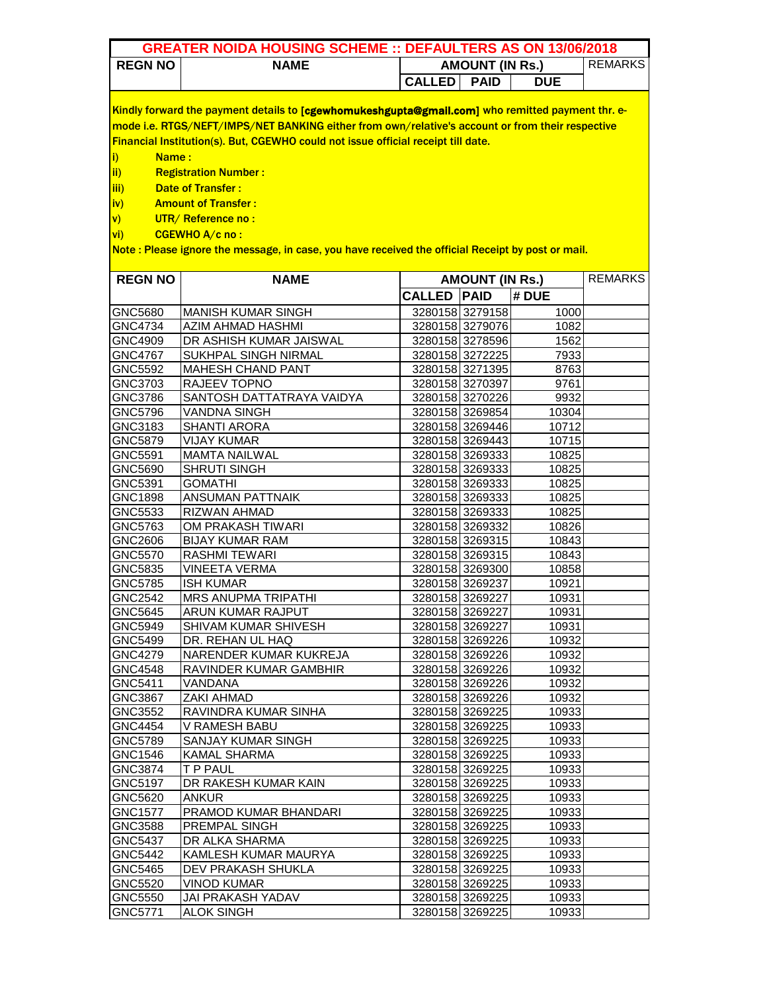| <b>GREATER NOIDA HOUSING SCHEME :: DEFAULTERS AS ON 13/06/2018</b> |                                                                                                   |                                          |                 |            |  |  |
|--------------------------------------------------------------------|---------------------------------------------------------------------------------------------------|------------------------------------------|-----------------|------------|--|--|
| <b>REGN NO</b>                                                     | <b>NAME</b>                                                                                       | <b>REMARKS</b><br><b>AMOUNT (IN Rs.)</b> |                 |            |  |  |
|                                                                    |                                                                                                   | <b>CALLED</b>                            | <b>PAID</b>     | <b>DUE</b> |  |  |
|                                                                    |                                                                                                   |                                          |                 |            |  |  |
|                                                                    | Kindly forward the payment details to [cgewhomukeshgupta@gmail.com] who remitted payment thr. e-  |                                          |                 |            |  |  |
|                                                                    | mode i.e. RTGS/NEFT/IMPS/NET BANKING either from own/relative's account or from their respective  |                                          |                 |            |  |  |
|                                                                    | Financial Institution(s). But, CGEWHO could not issue official receipt till date.                 |                                          |                 |            |  |  |
| Name:<br>i)                                                        |                                                                                                   |                                          |                 |            |  |  |
| ii)                                                                | <b>Registration Number:</b>                                                                       |                                          |                 |            |  |  |
| iii)                                                               | <b>Date of Transfer:</b>                                                                          |                                          |                 |            |  |  |
| iv)                                                                | <b>Amount of Transfer:</b>                                                                        |                                          |                 |            |  |  |
| $\mathsf{v}$                                                       | UTR/Reference no:                                                                                 |                                          |                 |            |  |  |
| $\overline{\mathsf{vi}}$                                           | CGEWHO A/c no:                                                                                    |                                          |                 |            |  |  |
|                                                                    | Note: Please ignore the message, in case, you have received the official Receipt by post or mail. |                                          |                 |            |  |  |
|                                                                    |                                                                                                   |                                          |                 |            |  |  |
| <b>REGN NO</b>                                                     | <b>NAME</b>                                                                                       | <b>REMARKS</b><br><b>AMOUNT (IN Rs.)</b> |                 |            |  |  |
|                                                                    |                                                                                                   | <b>CALLED PAID</b>                       |                 | # DUE      |  |  |
| GNC5680                                                            | <b>MANISH KUMAR SINGH</b>                                                                         |                                          | 3280158 3279158 | 1000       |  |  |
| <b>GNC4734</b>                                                     | AZIM AHMAD HASHMI                                                                                 |                                          | 3280158 3279076 | 1082       |  |  |
| GNC4909                                                            | DR ASHISH KUMAR JAISWAL                                                                           |                                          | 3280158 3278596 | 1562       |  |  |
| <b>GNC4767</b>                                                     | <b>SUKHPAL SINGH NIRMAL</b>                                                                       |                                          | 3280158 3272225 | 7933       |  |  |
| GNC5592                                                            | <b>MAHESH CHAND PANT</b>                                                                          |                                          | 3280158 3271395 | 8763       |  |  |
| GNC3703                                                            | RAJEEV TOPNO                                                                                      |                                          | 3280158 3270397 | 9761       |  |  |
| GNC3786                                                            | SANTOSH DATTATRAYA VAIDYA                                                                         |                                          | 3280158 3270226 | 9932       |  |  |
| GNC5796                                                            | <b>VANDNA SINGH</b>                                                                               |                                          | 3280158 3269854 | 10304      |  |  |
| GNC3183                                                            | <b>SHANTI ARORA</b>                                                                               |                                          | 3280158 3269446 | 10712      |  |  |
| GNC5879                                                            | <b>VIJAY KUMAR</b>                                                                                |                                          | 3280158 3269443 | 10715      |  |  |
| GNC5591                                                            | <b>MAMTA NAILWAL</b>                                                                              |                                          | 3280158 3269333 | 10825      |  |  |
| GNC5690                                                            | <b>SHRUTI SINGH</b>                                                                               |                                          | 3280158 3269333 | 10825      |  |  |
| GNC5391                                                            | <b>GOMATHI</b>                                                                                    |                                          | 3280158 3269333 | 10825      |  |  |
| GNC1898                                                            | <b>ANSUMAN PATTNAIK</b>                                                                           |                                          | 3280158 3269333 | 10825      |  |  |
| GNC5533                                                            | RIZWAN AHMAD                                                                                      |                                          | 3280158 3269333 | 10825      |  |  |
| GNC5763                                                            | OM PRAKASH TIWARI                                                                                 |                                          | 3280158 3269332 | 10826      |  |  |
| GNC2606                                                            | <b>BIJAY KUMAR RAM</b>                                                                            |                                          | 3280158 3269315 | 10843      |  |  |
| <b>GNC5570</b>                                                     | RASHMI TEWARI                                                                                     |                                          | 3280158 3269315 | 10843      |  |  |

| GNC1898        | ANSUMAN PATTNAIK             | 3280158 3269333 | 10825 |  |
|----------------|------------------------------|-----------------|-------|--|
| GNC5533        | <b>RIZWAN AHMAD</b>          | 3280158 3269333 | 10825 |  |
| GNC5763        | OM PRAKASH TIWARI            | 3280158 3269332 | 10826 |  |
| GNC2606        | <b>BIJAY KUMAR RAM</b>       | 3280158 3269315 | 10843 |  |
| GNC5570        | <b>RASHMI TEWARI</b>         | 3280158 3269315 | 10843 |  |
| GNC5835        | <b>VINEETA VERMA</b>         | 3280158 3269300 | 10858 |  |
| GNC5785        | <b>ISH KUMAR</b>             | 3280158 3269237 | 10921 |  |
| GNC2542        | <b>MRS ANUPMA TRIPATHI</b>   | 3280158 3269227 | 10931 |  |
| GNC5645        | <b>ARUN KUMAR RAJPUT</b>     | 3280158 3269227 | 10931 |  |
| GNC5949        | SHIVAM KUMAR SHIVESH         | 3280158 3269227 | 10931 |  |
| GNC5499        | DR. REHAN UL HAQ             | 3280158 3269226 | 10932 |  |
| GNC4279        | NARENDER KUMAR KUKREJA       | 3280158 3269226 | 10932 |  |
| GNC4548        | RAVINDER KUMAR GAMBHIR       | 3280158 3269226 | 10932 |  |
| GNC5411        | VANDANA                      | 3280158 3269226 | 10932 |  |
| GNC3867        | ZAKI AHMAD                   | 3280158 3269226 | 10932 |  |
| GNC3552        | RAVINDRA KUMAR SINHA         | 3280158 3269225 | 10933 |  |
| <b>GNC4454</b> | V RAMESH BABU                | 3280158 3269225 | 10933 |  |
| GNC5789        | SANJAY KUMAR SINGH           | 3280158 3269225 | 10933 |  |
| GNC1546        | <b>KAMAL SHARMA</b>          | 3280158 3269225 | 10933 |  |
| GNC3874        | T P PAUL                     | 3280158 3269225 | 10933 |  |
| GNC5197        | DR RAKESH KUMAR KAIN         | 3280158 3269225 | 10933 |  |
| GNC5620        | <b>ANKUR</b>                 | 3280158 3269225 | 10933 |  |
| <b>GNC1577</b> | <b>PRAMOD KUMAR BHANDARI</b> | 3280158 3269225 | 10933 |  |
| GNC3588        | <b>PREMPAL SINGH</b>         | 3280158 3269225 | 10933 |  |
| GNC5437        | DR ALKA SHARMA               | 3280158 3269225 | 10933 |  |
| GNC5442        | KAMLESH KUMAR MAURYA         | 3280158 3269225 | 10933 |  |
| GNC5465        | <b>DEV PRAKASH SHUKLA</b>    | 3280158 3269225 | 10933 |  |
| GNC5520        | <b>VINOD KUMAR</b>           | 3280158 3269225 | 10933 |  |
| GNC5550        | JAI PRAKASH YADAV            | 3280158 3269225 | 10933 |  |
| GNC5771        | <b>ALOK SINGH</b>            | 3280158 3269225 | 10933 |  |
|                |                              |                 |       |  |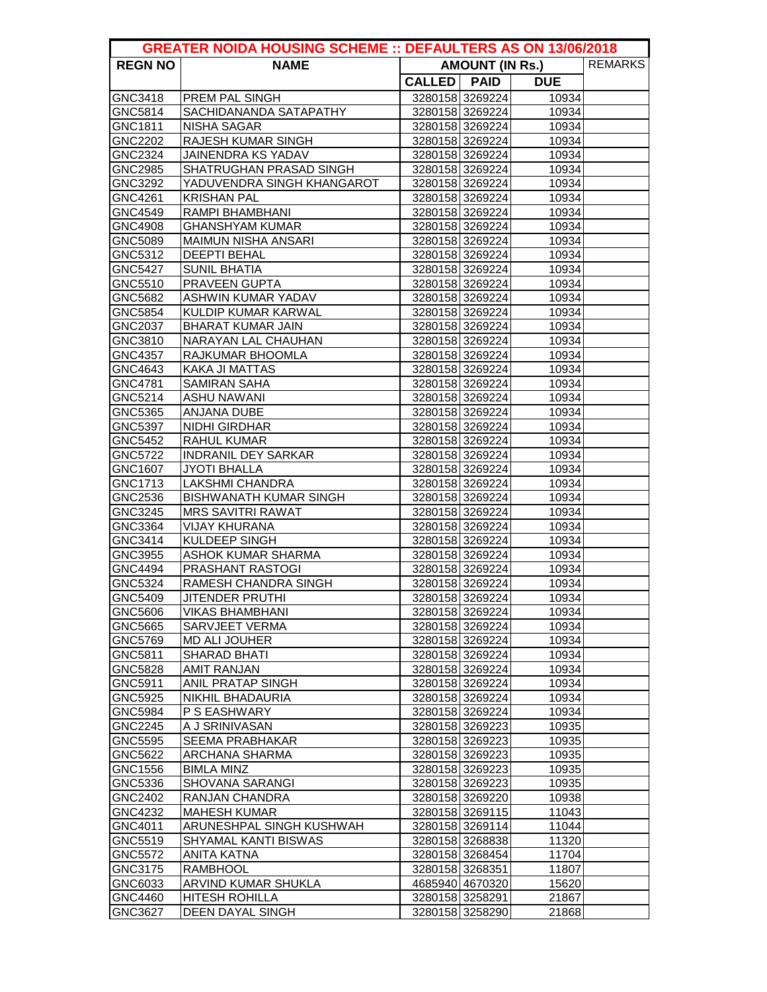| <b>REMARKS</b><br><b>REGN NO</b><br><b>NAME</b><br><b>AMOUNT (IN Rs.)</b><br>CALLED   PAID<br><b>DUE</b><br>3280158 3269224<br>GNC3418<br><b>PREM PAL SINGH</b><br>10934<br>3280158 3269224<br>GNC5814<br><b>SACHIDANANDA SATAPATHY</b><br>10934<br>3280158 3269224<br><b>NISHA SAGAR</b><br>10934<br>GNC1811<br><b>GNC2202</b><br>RAJESH KUMAR SINGH<br>3280158 3269224<br>10934<br>3280158 3269224<br>GNC2324<br>JAINENDRA KS YADAV<br>10934<br>GNC2985<br><b>SHATRUGHAN PRASAD SINGH</b><br>3280158 3269224<br>10934<br>3280158 3269224<br>GNC3292<br>YADUVENDRA SINGH KHANGAROT<br>10934<br>GNC4261<br><b>KRISHAN PAL</b><br>3280158 3269224<br>10934<br>GNC4549<br>RAMPI BHAMBHANI<br>3280158 3269224<br>10934<br>3280158 3269224<br>GNC4908<br><b>GHANSHYAM KUMAR</b><br>10934<br>GNC5089<br><b>MAIMUN NISHA ANSARI</b><br>3280158 3269224<br>10934<br><b>DEEPTI BEHAL</b><br>3280158 3269224<br>GNC5312<br>10934<br>3280158 3269224<br><b>SUNIL BHATIA</b><br><b>GNC5427</b><br>10934<br>GNC5510<br><b>PRAVEEN GUPTA</b><br>3280158 3269224<br>10934<br>3280158 3269224<br>GNC5682<br>ASHWIN KUMAR YADAV<br>10934<br>KULDIP KUMAR KARWAL<br>3280158 3269224<br>GNC5854<br>10934<br><b>BHARAT KUMAR JAIN</b><br>3280158 3269224<br>GNC2037<br>10934<br>NARAYAN LAL CHAUHAN<br>3280158 3269224<br>10934<br>GNC3810<br>GNC4357<br>RAJKUMAR BHOOMLA<br>3280158 3269224<br>10934<br>3280158 3269224<br>GNC4643<br>KAKA JI MATTAS<br>10934<br><b>SAMIRAN SAHA</b><br>3280158 3269224<br>10934<br>GNC4781<br><b>ASHU NAWANI</b><br>3280158 3269224<br>GNC5214<br>10934<br>3280158 3269224<br><b>ANJANA DUBE</b><br>GNC5365<br>10934<br><b>GNC5397</b><br><b>NIDHI GIRDHAR</b><br>3280158 3269224<br>10934<br>3280158 3269224<br>GNC5452<br>10934<br>RAHUL KUMAR<br>GNC5722<br><b>INDRANIL DEY SARKAR</b><br>3280158 3269224<br>10934<br><b>JYOTI BHALLA</b><br>3280158 3269224<br>GNC1607<br>10934<br><b>LAKSHMI CHANDRA</b><br>3280158 3269224<br>10934<br>GNC1713<br>GNC2536<br><b>BISHWANATH KUMAR SINGH</b><br>3280158 3269224<br>10934<br>3280158 3269224<br>GNC3245<br><b>MRS SAVITRI RAWAT</b><br>10934<br><b>VIJAY KHURANA</b><br>GNC3364<br>3280158 3269224<br>10934<br><b>KULDEEP SINGH</b><br>3280158 3269224<br>GNC3414<br>10934<br>3280158 3269224<br>GNC3955<br><b>ASHOK KUMAR SHARMA</b><br>10934<br>GNC4494<br><b>PRASHANT RASTOGI</b><br>3280158 3269224<br>10934<br>GNC5324<br>3280158 3269224<br>10934<br>RAMESH CHANDRA SINGH<br><b>GNC5409</b><br><b>JITENDER PRUTHI</b><br>3280158 3269224<br>10934<br>3280158 3269224<br>GNC5606<br>VIKAS BHAMBHANI<br>10934<br>10934<br>GNC5665<br>SARVJEET VERMA<br>3280158 3269224<br>GNC5769<br>3280158 3269224<br>10934<br><b>MD ALI JOUHER</b><br>3280158 3269224<br>GNC5811<br><b>SHARAD BHATI</b><br>10934<br><b>GNC5828</b><br><b>AMIT RANJAN</b><br>3280158 3269224<br>10934<br>3280158 3269224<br>GNC5911<br><b>ANIL PRATAP SINGH</b><br>10934<br>NIKHIL BHADAURIA<br>GNC5925<br>3280158 3269224<br>10934<br>P S EASHWARY<br>GNC5984<br>3280158 3269224<br>10934<br>GNC2245<br>A J SRINIVASAN<br>3280158 3269223<br>10935<br>GNC5595<br><b>SEEMA PRABHAKAR</b><br>3280158 3269223<br>10935<br>GNC5622<br>ARCHANA SHARMA<br>3280158 3269223<br>10935<br>GNC1556<br><b>BIMLA MINZ</b><br>3280158 3269223<br>10935<br>GNC5336<br><b>SHOVANA SARANGI</b><br>3280158 3269223<br>10935<br>GNC2402<br><b>RANJAN CHANDRA</b><br>3280158 3269220<br>10938<br>GNC4232<br><b>MAHESH KUMAR</b><br>3280158 3269115<br>11043<br>GNC4011<br>ARUNESHPAL SINGH KUSHWAH<br>3280158 3269114<br>11044<br>GNC5519<br>SHYAMAL KANTI BISWAS<br>3280158 3268838<br>11320<br>GNC5572<br><b>ANITA KATNA</b><br>3280158 3268454<br>11704<br>GNC3175<br>3280158 3268351<br>11807<br><b>RAMBHOOL</b><br>GNC6033<br>ARVIND KUMAR SHUKLA<br>4685940 4670320<br>15620<br>GNC4460<br><b>HITESH ROHILLA</b><br>3280158 3258291<br>21867<br>3280158 3258290 | <b>GREATER NOIDA HOUSING SCHEME :: DEFAULTERS AS ON 13/06/2018</b> |                  |  |  |       |  |  |
|--------------------------------------------------------------------------------------------------------------------------------------------------------------------------------------------------------------------------------------------------------------------------------------------------------------------------------------------------------------------------------------------------------------------------------------------------------------------------------------------------------------------------------------------------------------------------------------------------------------------------------------------------------------------------------------------------------------------------------------------------------------------------------------------------------------------------------------------------------------------------------------------------------------------------------------------------------------------------------------------------------------------------------------------------------------------------------------------------------------------------------------------------------------------------------------------------------------------------------------------------------------------------------------------------------------------------------------------------------------------------------------------------------------------------------------------------------------------------------------------------------------------------------------------------------------------------------------------------------------------------------------------------------------------------------------------------------------------------------------------------------------------------------------------------------------------------------------------------------------------------------------------------------------------------------------------------------------------------------------------------------------------------------------------------------------------------------------------------------------------------------------------------------------------------------------------------------------------------------------------------------------------------------------------------------------------------------------------------------------------------------------------------------------------------------------------------------------------------------------------------------------------------------------------------------------------------------------------------------------------------------------------------------------------------------------------------------------------------------------------------------------------------------------------------------------------------------------------------------------------------------------------------------------------------------------------------------------------------------------------------------------------------------------------------------------------------------------------------------------------------------------------------------------------------------------------------------------------------------------------------------------------------------------------------------------------------------------------------------------------------------------------------------------------------------------------------------------------------------------------------------------------------------------------------------------------------------------------------------------------------------------------------------------------------------------------------------------------------------------------------------------------------------------------------------------------------------------------------------------------------------------------|--------------------------------------------------------------------|------------------|--|--|-------|--|--|
|                                                                                                                                                                                                                                                                                                                                                                                                                                                                                                                                                                                                                                                                                                                                                                                                                                                                                                                                                                                                                                                                                                                                                                                                                                                                                                                                                                                                                                                                                                                                                                                                                                                                                                                                                                                                                                                                                                                                                                                                                                                                                                                                                                                                                                                                                                                                                                                                                                                                                                                                                                                                                                                                                                                                                                                                                                                                                                                                                                                                                                                                                                                                                                                                                                                                                                                                                                                                                                                                                                                                                                                                                                                                                                                                                                                                                                                                                            |                                                                    |                  |  |  |       |  |  |
|                                                                                                                                                                                                                                                                                                                                                                                                                                                                                                                                                                                                                                                                                                                                                                                                                                                                                                                                                                                                                                                                                                                                                                                                                                                                                                                                                                                                                                                                                                                                                                                                                                                                                                                                                                                                                                                                                                                                                                                                                                                                                                                                                                                                                                                                                                                                                                                                                                                                                                                                                                                                                                                                                                                                                                                                                                                                                                                                                                                                                                                                                                                                                                                                                                                                                                                                                                                                                                                                                                                                                                                                                                                                                                                                                                                                                                                                                            |                                                                    |                  |  |  |       |  |  |
|                                                                                                                                                                                                                                                                                                                                                                                                                                                                                                                                                                                                                                                                                                                                                                                                                                                                                                                                                                                                                                                                                                                                                                                                                                                                                                                                                                                                                                                                                                                                                                                                                                                                                                                                                                                                                                                                                                                                                                                                                                                                                                                                                                                                                                                                                                                                                                                                                                                                                                                                                                                                                                                                                                                                                                                                                                                                                                                                                                                                                                                                                                                                                                                                                                                                                                                                                                                                                                                                                                                                                                                                                                                                                                                                                                                                                                                                                            |                                                                    |                  |  |  |       |  |  |
|                                                                                                                                                                                                                                                                                                                                                                                                                                                                                                                                                                                                                                                                                                                                                                                                                                                                                                                                                                                                                                                                                                                                                                                                                                                                                                                                                                                                                                                                                                                                                                                                                                                                                                                                                                                                                                                                                                                                                                                                                                                                                                                                                                                                                                                                                                                                                                                                                                                                                                                                                                                                                                                                                                                                                                                                                                                                                                                                                                                                                                                                                                                                                                                                                                                                                                                                                                                                                                                                                                                                                                                                                                                                                                                                                                                                                                                                                            |                                                                    |                  |  |  |       |  |  |
|                                                                                                                                                                                                                                                                                                                                                                                                                                                                                                                                                                                                                                                                                                                                                                                                                                                                                                                                                                                                                                                                                                                                                                                                                                                                                                                                                                                                                                                                                                                                                                                                                                                                                                                                                                                                                                                                                                                                                                                                                                                                                                                                                                                                                                                                                                                                                                                                                                                                                                                                                                                                                                                                                                                                                                                                                                                                                                                                                                                                                                                                                                                                                                                                                                                                                                                                                                                                                                                                                                                                                                                                                                                                                                                                                                                                                                                                                            |                                                                    |                  |  |  |       |  |  |
|                                                                                                                                                                                                                                                                                                                                                                                                                                                                                                                                                                                                                                                                                                                                                                                                                                                                                                                                                                                                                                                                                                                                                                                                                                                                                                                                                                                                                                                                                                                                                                                                                                                                                                                                                                                                                                                                                                                                                                                                                                                                                                                                                                                                                                                                                                                                                                                                                                                                                                                                                                                                                                                                                                                                                                                                                                                                                                                                                                                                                                                                                                                                                                                                                                                                                                                                                                                                                                                                                                                                                                                                                                                                                                                                                                                                                                                                                            |                                                                    |                  |  |  |       |  |  |
|                                                                                                                                                                                                                                                                                                                                                                                                                                                                                                                                                                                                                                                                                                                                                                                                                                                                                                                                                                                                                                                                                                                                                                                                                                                                                                                                                                                                                                                                                                                                                                                                                                                                                                                                                                                                                                                                                                                                                                                                                                                                                                                                                                                                                                                                                                                                                                                                                                                                                                                                                                                                                                                                                                                                                                                                                                                                                                                                                                                                                                                                                                                                                                                                                                                                                                                                                                                                                                                                                                                                                                                                                                                                                                                                                                                                                                                                                            |                                                                    |                  |  |  |       |  |  |
|                                                                                                                                                                                                                                                                                                                                                                                                                                                                                                                                                                                                                                                                                                                                                                                                                                                                                                                                                                                                                                                                                                                                                                                                                                                                                                                                                                                                                                                                                                                                                                                                                                                                                                                                                                                                                                                                                                                                                                                                                                                                                                                                                                                                                                                                                                                                                                                                                                                                                                                                                                                                                                                                                                                                                                                                                                                                                                                                                                                                                                                                                                                                                                                                                                                                                                                                                                                                                                                                                                                                                                                                                                                                                                                                                                                                                                                                                            |                                                                    |                  |  |  |       |  |  |
|                                                                                                                                                                                                                                                                                                                                                                                                                                                                                                                                                                                                                                                                                                                                                                                                                                                                                                                                                                                                                                                                                                                                                                                                                                                                                                                                                                                                                                                                                                                                                                                                                                                                                                                                                                                                                                                                                                                                                                                                                                                                                                                                                                                                                                                                                                                                                                                                                                                                                                                                                                                                                                                                                                                                                                                                                                                                                                                                                                                                                                                                                                                                                                                                                                                                                                                                                                                                                                                                                                                                                                                                                                                                                                                                                                                                                                                                                            |                                                                    |                  |  |  |       |  |  |
|                                                                                                                                                                                                                                                                                                                                                                                                                                                                                                                                                                                                                                                                                                                                                                                                                                                                                                                                                                                                                                                                                                                                                                                                                                                                                                                                                                                                                                                                                                                                                                                                                                                                                                                                                                                                                                                                                                                                                                                                                                                                                                                                                                                                                                                                                                                                                                                                                                                                                                                                                                                                                                                                                                                                                                                                                                                                                                                                                                                                                                                                                                                                                                                                                                                                                                                                                                                                                                                                                                                                                                                                                                                                                                                                                                                                                                                                                            |                                                                    |                  |  |  |       |  |  |
|                                                                                                                                                                                                                                                                                                                                                                                                                                                                                                                                                                                                                                                                                                                                                                                                                                                                                                                                                                                                                                                                                                                                                                                                                                                                                                                                                                                                                                                                                                                                                                                                                                                                                                                                                                                                                                                                                                                                                                                                                                                                                                                                                                                                                                                                                                                                                                                                                                                                                                                                                                                                                                                                                                                                                                                                                                                                                                                                                                                                                                                                                                                                                                                                                                                                                                                                                                                                                                                                                                                                                                                                                                                                                                                                                                                                                                                                                            |                                                                    |                  |  |  |       |  |  |
|                                                                                                                                                                                                                                                                                                                                                                                                                                                                                                                                                                                                                                                                                                                                                                                                                                                                                                                                                                                                                                                                                                                                                                                                                                                                                                                                                                                                                                                                                                                                                                                                                                                                                                                                                                                                                                                                                                                                                                                                                                                                                                                                                                                                                                                                                                                                                                                                                                                                                                                                                                                                                                                                                                                                                                                                                                                                                                                                                                                                                                                                                                                                                                                                                                                                                                                                                                                                                                                                                                                                                                                                                                                                                                                                                                                                                                                                                            |                                                                    |                  |  |  |       |  |  |
|                                                                                                                                                                                                                                                                                                                                                                                                                                                                                                                                                                                                                                                                                                                                                                                                                                                                                                                                                                                                                                                                                                                                                                                                                                                                                                                                                                                                                                                                                                                                                                                                                                                                                                                                                                                                                                                                                                                                                                                                                                                                                                                                                                                                                                                                                                                                                                                                                                                                                                                                                                                                                                                                                                                                                                                                                                                                                                                                                                                                                                                                                                                                                                                                                                                                                                                                                                                                                                                                                                                                                                                                                                                                                                                                                                                                                                                                                            |                                                                    |                  |  |  |       |  |  |
|                                                                                                                                                                                                                                                                                                                                                                                                                                                                                                                                                                                                                                                                                                                                                                                                                                                                                                                                                                                                                                                                                                                                                                                                                                                                                                                                                                                                                                                                                                                                                                                                                                                                                                                                                                                                                                                                                                                                                                                                                                                                                                                                                                                                                                                                                                                                                                                                                                                                                                                                                                                                                                                                                                                                                                                                                                                                                                                                                                                                                                                                                                                                                                                                                                                                                                                                                                                                                                                                                                                                                                                                                                                                                                                                                                                                                                                                                            |                                                                    |                  |  |  |       |  |  |
|                                                                                                                                                                                                                                                                                                                                                                                                                                                                                                                                                                                                                                                                                                                                                                                                                                                                                                                                                                                                                                                                                                                                                                                                                                                                                                                                                                                                                                                                                                                                                                                                                                                                                                                                                                                                                                                                                                                                                                                                                                                                                                                                                                                                                                                                                                                                                                                                                                                                                                                                                                                                                                                                                                                                                                                                                                                                                                                                                                                                                                                                                                                                                                                                                                                                                                                                                                                                                                                                                                                                                                                                                                                                                                                                                                                                                                                                                            |                                                                    |                  |  |  |       |  |  |
|                                                                                                                                                                                                                                                                                                                                                                                                                                                                                                                                                                                                                                                                                                                                                                                                                                                                                                                                                                                                                                                                                                                                                                                                                                                                                                                                                                                                                                                                                                                                                                                                                                                                                                                                                                                                                                                                                                                                                                                                                                                                                                                                                                                                                                                                                                                                                                                                                                                                                                                                                                                                                                                                                                                                                                                                                                                                                                                                                                                                                                                                                                                                                                                                                                                                                                                                                                                                                                                                                                                                                                                                                                                                                                                                                                                                                                                                                            |                                                                    |                  |  |  |       |  |  |
|                                                                                                                                                                                                                                                                                                                                                                                                                                                                                                                                                                                                                                                                                                                                                                                                                                                                                                                                                                                                                                                                                                                                                                                                                                                                                                                                                                                                                                                                                                                                                                                                                                                                                                                                                                                                                                                                                                                                                                                                                                                                                                                                                                                                                                                                                                                                                                                                                                                                                                                                                                                                                                                                                                                                                                                                                                                                                                                                                                                                                                                                                                                                                                                                                                                                                                                                                                                                                                                                                                                                                                                                                                                                                                                                                                                                                                                                                            |                                                                    |                  |  |  |       |  |  |
|                                                                                                                                                                                                                                                                                                                                                                                                                                                                                                                                                                                                                                                                                                                                                                                                                                                                                                                                                                                                                                                                                                                                                                                                                                                                                                                                                                                                                                                                                                                                                                                                                                                                                                                                                                                                                                                                                                                                                                                                                                                                                                                                                                                                                                                                                                                                                                                                                                                                                                                                                                                                                                                                                                                                                                                                                                                                                                                                                                                                                                                                                                                                                                                                                                                                                                                                                                                                                                                                                                                                                                                                                                                                                                                                                                                                                                                                                            |                                                                    |                  |  |  |       |  |  |
|                                                                                                                                                                                                                                                                                                                                                                                                                                                                                                                                                                                                                                                                                                                                                                                                                                                                                                                                                                                                                                                                                                                                                                                                                                                                                                                                                                                                                                                                                                                                                                                                                                                                                                                                                                                                                                                                                                                                                                                                                                                                                                                                                                                                                                                                                                                                                                                                                                                                                                                                                                                                                                                                                                                                                                                                                                                                                                                                                                                                                                                                                                                                                                                                                                                                                                                                                                                                                                                                                                                                                                                                                                                                                                                                                                                                                                                                                            |                                                                    |                  |  |  |       |  |  |
|                                                                                                                                                                                                                                                                                                                                                                                                                                                                                                                                                                                                                                                                                                                                                                                                                                                                                                                                                                                                                                                                                                                                                                                                                                                                                                                                                                                                                                                                                                                                                                                                                                                                                                                                                                                                                                                                                                                                                                                                                                                                                                                                                                                                                                                                                                                                                                                                                                                                                                                                                                                                                                                                                                                                                                                                                                                                                                                                                                                                                                                                                                                                                                                                                                                                                                                                                                                                                                                                                                                                                                                                                                                                                                                                                                                                                                                                                            |                                                                    |                  |  |  |       |  |  |
|                                                                                                                                                                                                                                                                                                                                                                                                                                                                                                                                                                                                                                                                                                                                                                                                                                                                                                                                                                                                                                                                                                                                                                                                                                                                                                                                                                                                                                                                                                                                                                                                                                                                                                                                                                                                                                                                                                                                                                                                                                                                                                                                                                                                                                                                                                                                                                                                                                                                                                                                                                                                                                                                                                                                                                                                                                                                                                                                                                                                                                                                                                                                                                                                                                                                                                                                                                                                                                                                                                                                                                                                                                                                                                                                                                                                                                                                                            |                                                                    |                  |  |  |       |  |  |
|                                                                                                                                                                                                                                                                                                                                                                                                                                                                                                                                                                                                                                                                                                                                                                                                                                                                                                                                                                                                                                                                                                                                                                                                                                                                                                                                                                                                                                                                                                                                                                                                                                                                                                                                                                                                                                                                                                                                                                                                                                                                                                                                                                                                                                                                                                                                                                                                                                                                                                                                                                                                                                                                                                                                                                                                                                                                                                                                                                                                                                                                                                                                                                                                                                                                                                                                                                                                                                                                                                                                                                                                                                                                                                                                                                                                                                                                                            |                                                                    |                  |  |  |       |  |  |
|                                                                                                                                                                                                                                                                                                                                                                                                                                                                                                                                                                                                                                                                                                                                                                                                                                                                                                                                                                                                                                                                                                                                                                                                                                                                                                                                                                                                                                                                                                                                                                                                                                                                                                                                                                                                                                                                                                                                                                                                                                                                                                                                                                                                                                                                                                                                                                                                                                                                                                                                                                                                                                                                                                                                                                                                                                                                                                                                                                                                                                                                                                                                                                                                                                                                                                                                                                                                                                                                                                                                                                                                                                                                                                                                                                                                                                                                                            |                                                                    |                  |  |  |       |  |  |
|                                                                                                                                                                                                                                                                                                                                                                                                                                                                                                                                                                                                                                                                                                                                                                                                                                                                                                                                                                                                                                                                                                                                                                                                                                                                                                                                                                                                                                                                                                                                                                                                                                                                                                                                                                                                                                                                                                                                                                                                                                                                                                                                                                                                                                                                                                                                                                                                                                                                                                                                                                                                                                                                                                                                                                                                                                                                                                                                                                                                                                                                                                                                                                                                                                                                                                                                                                                                                                                                                                                                                                                                                                                                                                                                                                                                                                                                                            |                                                                    |                  |  |  |       |  |  |
|                                                                                                                                                                                                                                                                                                                                                                                                                                                                                                                                                                                                                                                                                                                                                                                                                                                                                                                                                                                                                                                                                                                                                                                                                                                                                                                                                                                                                                                                                                                                                                                                                                                                                                                                                                                                                                                                                                                                                                                                                                                                                                                                                                                                                                                                                                                                                                                                                                                                                                                                                                                                                                                                                                                                                                                                                                                                                                                                                                                                                                                                                                                                                                                                                                                                                                                                                                                                                                                                                                                                                                                                                                                                                                                                                                                                                                                                                            |                                                                    |                  |  |  |       |  |  |
|                                                                                                                                                                                                                                                                                                                                                                                                                                                                                                                                                                                                                                                                                                                                                                                                                                                                                                                                                                                                                                                                                                                                                                                                                                                                                                                                                                                                                                                                                                                                                                                                                                                                                                                                                                                                                                                                                                                                                                                                                                                                                                                                                                                                                                                                                                                                                                                                                                                                                                                                                                                                                                                                                                                                                                                                                                                                                                                                                                                                                                                                                                                                                                                                                                                                                                                                                                                                                                                                                                                                                                                                                                                                                                                                                                                                                                                                                            |                                                                    |                  |  |  |       |  |  |
|                                                                                                                                                                                                                                                                                                                                                                                                                                                                                                                                                                                                                                                                                                                                                                                                                                                                                                                                                                                                                                                                                                                                                                                                                                                                                                                                                                                                                                                                                                                                                                                                                                                                                                                                                                                                                                                                                                                                                                                                                                                                                                                                                                                                                                                                                                                                                                                                                                                                                                                                                                                                                                                                                                                                                                                                                                                                                                                                                                                                                                                                                                                                                                                                                                                                                                                                                                                                                                                                                                                                                                                                                                                                                                                                                                                                                                                                                            |                                                                    |                  |  |  |       |  |  |
|                                                                                                                                                                                                                                                                                                                                                                                                                                                                                                                                                                                                                                                                                                                                                                                                                                                                                                                                                                                                                                                                                                                                                                                                                                                                                                                                                                                                                                                                                                                                                                                                                                                                                                                                                                                                                                                                                                                                                                                                                                                                                                                                                                                                                                                                                                                                                                                                                                                                                                                                                                                                                                                                                                                                                                                                                                                                                                                                                                                                                                                                                                                                                                                                                                                                                                                                                                                                                                                                                                                                                                                                                                                                                                                                                                                                                                                                                            |                                                                    |                  |  |  |       |  |  |
|                                                                                                                                                                                                                                                                                                                                                                                                                                                                                                                                                                                                                                                                                                                                                                                                                                                                                                                                                                                                                                                                                                                                                                                                                                                                                                                                                                                                                                                                                                                                                                                                                                                                                                                                                                                                                                                                                                                                                                                                                                                                                                                                                                                                                                                                                                                                                                                                                                                                                                                                                                                                                                                                                                                                                                                                                                                                                                                                                                                                                                                                                                                                                                                                                                                                                                                                                                                                                                                                                                                                                                                                                                                                                                                                                                                                                                                                                            |                                                                    |                  |  |  |       |  |  |
|                                                                                                                                                                                                                                                                                                                                                                                                                                                                                                                                                                                                                                                                                                                                                                                                                                                                                                                                                                                                                                                                                                                                                                                                                                                                                                                                                                                                                                                                                                                                                                                                                                                                                                                                                                                                                                                                                                                                                                                                                                                                                                                                                                                                                                                                                                                                                                                                                                                                                                                                                                                                                                                                                                                                                                                                                                                                                                                                                                                                                                                                                                                                                                                                                                                                                                                                                                                                                                                                                                                                                                                                                                                                                                                                                                                                                                                                                            |                                                                    |                  |  |  |       |  |  |
|                                                                                                                                                                                                                                                                                                                                                                                                                                                                                                                                                                                                                                                                                                                                                                                                                                                                                                                                                                                                                                                                                                                                                                                                                                                                                                                                                                                                                                                                                                                                                                                                                                                                                                                                                                                                                                                                                                                                                                                                                                                                                                                                                                                                                                                                                                                                                                                                                                                                                                                                                                                                                                                                                                                                                                                                                                                                                                                                                                                                                                                                                                                                                                                                                                                                                                                                                                                                                                                                                                                                                                                                                                                                                                                                                                                                                                                                                            |                                                                    |                  |  |  |       |  |  |
|                                                                                                                                                                                                                                                                                                                                                                                                                                                                                                                                                                                                                                                                                                                                                                                                                                                                                                                                                                                                                                                                                                                                                                                                                                                                                                                                                                                                                                                                                                                                                                                                                                                                                                                                                                                                                                                                                                                                                                                                                                                                                                                                                                                                                                                                                                                                                                                                                                                                                                                                                                                                                                                                                                                                                                                                                                                                                                                                                                                                                                                                                                                                                                                                                                                                                                                                                                                                                                                                                                                                                                                                                                                                                                                                                                                                                                                                                            |                                                                    |                  |  |  |       |  |  |
|                                                                                                                                                                                                                                                                                                                                                                                                                                                                                                                                                                                                                                                                                                                                                                                                                                                                                                                                                                                                                                                                                                                                                                                                                                                                                                                                                                                                                                                                                                                                                                                                                                                                                                                                                                                                                                                                                                                                                                                                                                                                                                                                                                                                                                                                                                                                                                                                                                                                                                                                                                                                                                                                                                                                                                                                                                                                                                                                                                                                                                                                                                                                                                                                                                                                                                                                                                                                                                                                                                                                                                                                                                                                                                                                                                                                                                                                                            |                                                                    |                  |  |  |       |  |  |
|                                                                                                                                                                                                                                                                                                                                                                                                                                                                                                                                                                                                                                                                                                                                                                                                                                                                                                                                                                                                                                                                                                                                                                                                                                                                                                                                                                                                                                                                                                                                                                                                                                                                                                                                                                                                                                                                                                                                                                                                                                                                                                                                                                                                                                                                                                                                                                                                                                                                                                                                                                                                                                                                                                                                                                                                                                                                                                                                                                                                                                                                                                                                                                                                                                                                                                                                                                                                                                                                                                                                                                                                                                                                                                                                                                                                                                                                                            |                                                                    |                  |  |  |       |  |  |
|                                                                                                                                                                                                                                                                                                                                                                                                                                                                                                                                                                                                                                                                                                                                                                                                                                                                                                                                                                                                                                                                                                                                                                                                                                                                                                                                                                                                                                                                                                                                                                                                                                                                                                                                                                                                                                                                                                                                                                                                                                                                                                                                                                                                                                                                                                                                                                                                                                                                                                                                                                                                                                                                                                                                                                                                                                                                                                                                                                                                                                                                                                                                                                                                                                                                                                                                                                                                                                                                                                                                                                                                                                                                                                                                                                                                                                                                                            |                                                                    |                  |  |  |       |  |  |
|                                                                                                                                                                                                                                                                                                                                                                                                                                                                                                                                                                                                                                                                                                                                                                                                                                                                                                                                                                                                                                                                                                                                                                                                                                                                                                                                                                                                                                                                                                                                                                                                                                                                                                                                                                                                                                                                                                                                                                                                                                                                                                                                                                                                                                                                                                                                                                                                                                                                                                                                                                                                                                                                                                                                                                                                                                                                                                                                                                                                                                                                                                                                                                                                                                                                                                                                                                                                                                                                                                                                                                                                                                                                                                                                                                                                                                                                                            |                                                                    |                  |  |  |       |  |  |
|                                                                                                                                                                                                                                                                                                                                                                                                                                                                                                                                                                                                                                                                                                                                                                                                                                                                                                                                                                                                                                                                                                                                                                                                                                                                                                                                                                                                                                                                                                                                                                                                                                                                                                                                                                                                                                                                                                                                                                                                                                                                                                                                                                                                                                                                                                                                                                                                                                                                                                                                                                                                                                                                                                                                                                                                                                                                                                                                                                                                                                                                                                                                                                                                                                                                                                                                                                                                                                                                                                                                                                                                                                                                                                                                                                                                                                                                                            |                                                                    |                  |  |  |       |  |  |
|                                                                                                                                                                                                                                                                                                                                                                                                                                                                                                                                                                                                                                                                                                                                                                                                                                                                                                                                                                                                                                                                                                                                                                                                                                                                                                                                                                                                                                                                                                                                                                                                                                                                                                                                                                                                                                                                                                                                                                                                                                                                                                                                                                                                                                                                                                                                                                                                                                                                                                                                                                                                                                                                                                                                                                                                                                                                                                                                                                                                                                                                                                                                                                                                                                                                                                                                                                                                                                                                                                                                                                                                                                                                                                                                                                                                                                                                                            |                                                                    |                  |  |  |       |  |  |
|                                                                                                                                                                                                                                                                                                                                                                                                                                                                                                                                                                                                                                                                                                                                                                                                                                                                                                                                                                                                                                                                                                                                                                                                                                                                                                                                                                                                                                                                                                                                                                                                                                                                                                                                                                                                                                                                                                                                                                                                                                                                                                                                                                                                                                                                                                                                                                                                                                                                                                                                                                                                                                                                                                                                                                                                                                                                                                                                                                                                                                                                                                                                                                                                                                                                                                                                                                                                                                                                                                                                                                                                                                                                                                                                                                                                                                                                                            |                                                                    |                  |  |  |       |  |  |
|                                                                                                                                                                                                                                                                                                                                                                                                                                                                                                                                                                                                                                                                                                                                                                                                                                                                                                                                                                                                                                                                                                                                                                                                                                                                                                                                                                                                                                                                                                                                                                                                                                                                                                                                                                                                                                                                                                                                                                                                                                                                                                                                                                                                                                                                                                                                                                                                                                                                                                                                                                                                                                                                                                                                                                                                                                                                                                                                                                                                                                                                                                                                                                                                                                                                                                                                                                                                                                                                                                                                                                                                                                                                                                                                                                                                                                                                                            |                                                                    |                  |  |  |       |  |  |
|                                                                                                                                                                                                                                                                                                                                                                                                                                                                                                                                                                                                                                                                                                                                                                                                                                                                                                                                                                                                                                                                                                                                                                                                                                                                                                                                                                                                                                                                                                                                                                                                                                                                                                                                                                                                                                                                                                                                                                                                                                                                                                                                                                                                                                                                                                                                                                                                                                                                                                                                                                                                                                                                                                                                                                                                                                                                                                                                                                                                                                                                                                                                                                                                                                                                                                                                                                                                                                                                                                                                                                                                                                                                                                                                                                                                                                                                                            |                                                                    |                  |  |  |       |  |  |
|                                                                                                                                                                                                                                                                                                                                                                                                                                                                                                                                                                                                                                                                                                                                                                                                                                                                                                                                                                                                                                                                                                                                                                                                                                                                                                                                                                                                                                                                                                                                                                                                                                                                                                                                                                                                                                                                                                                                                                                                                                                                                                                                                                                                                                                                                                                                                                                                                                                                                                                                                                                                                                                                                                                                                                                                                                                                                                                                                                                                                                                                                                                                                                                                                                                                                                                                                                                                                                                                                                                                                                                                                                                                                                                                                                                                                                                                                            |                                                                    |                  |  |  |       |  |  |
|                                                                                                                                                                                                                                                                                                                                                                                                                                                                                                                                                                                                                                                                                                                                                                                                                                                                                                                                                                                                                                                                                                                                                                                                                                                                                                                                                                                                                                                                                                                                                                                                                                                                                                                                                                                                                                                                                                                                                                                                                                                                                                                                                                                                                                                                                                                                                                                                                                                                                                                                                                                                                                                                                                                                                                                                                                                                                                                                                                                                                                                                                                                                                                                                                                                                                                                                                                                                                                                                                                                                                                                                                                                                                                                                                                                                                                                                                            |                                                                    |                  |  |  |       |  |  |
|                                                                                                                                                                                                                                                                                                                                                                                                                                                                                                                                                                                                                                                                                                                                                                                                                                                                                                                                                                                                                                                                                                                                                                                                                                                                                                                                                                                                                                                                                                                                                                                                                                                                                                                                                                                                                                                                                                                                                                                                                                                                                                                                                                                                                                                                                                                                                                                                                                                                                                                                                                                                                                                                                                                                                                                                                                                                                                                                                                                                                                                                                                                                                                                                                                                                                                                                                                                                                                                                                                                                                                                                                                                                                                                                                                                                                                                                                            |                                                                    |                  |  |  |       |  |  |
|                                                                                                                                                                                                                                                                                                                                                                                                                                                                                                                                                                                                                                                                                                                                                                                                                                                                                                                                                                                                                                                                                                                                                                                                                                                                                                                                                                                                                                                                                                                                                                                                                                                                                                                                                                                                                                                                                                                                                                                                                                                                                                                                                                                                                                                                                                                                                                                                                                                                                                                                                                                                                                                                                                                                                                                                                                                                                                                                                                                                                                                                                                                                                                                                                                                                                                                                                                                                                                                                                                                                                                                                                                                                                                                                                                                                                                                                                            |                                                                    |                  |  |  |       |  |  |
|                                                                                                                                                                                                                                                                                                                                                                                                                                                                                                                                                                                                                                                                                                                                                                                                                                                                                                                                                                                                                                                                                                                                                                                                                                                                                                                                                                                                                                                                                                                                                                                                                                                                                                                                                                                                                                                                                                                                                                                                                                                                                                                                                                                                                                                                                                                                                                                                                                                                                                                                                                                                                                                                                                                                                                                                                                                                                                                                                                                                                                                                                                                                                                                                                                                                                                                                                                                                                                                                                                                                                                                                                                                                                                                                                                                                                                                                                            |                                                                    |                  |  |  |       |  |  |
|                                                                                                                                                                                                                                                                                                                                                                                                                                                                                                                                                                                                                                                                                                                                                                                                                                                                                                                                                                                                                                                                                                                                                                                                                                                                                                                                                                                                                                                                                                                                                                                                                                                                                                                                                                                                                                                                                                                                                                                                                                                                                                                                                                                                                                                                                                                                                                                                                                                                                                                                                                                                                                                                                                                                                                                                                                                                                                                                                                                                                                                                                                                                                                                                                                                                                                                                                                                                                                                                                                                                                                                                                                                                                                                                                                                                                                                                                            |                                                                    |                  |  |  |       |  |  |
|                                                                                                                                                                                                                                                                                                                                                                                                                                                                                                                                                                                                                                                                                                                                                                                                                                                                                                                                                                                                                                                                                                                                                                                                                                                                                                                                                                                                                                                                                                                                                                                                                                                                                                                                                                                                                                                                                                                                                                                                                                                                                                                                                                                                                                                                                                                                                                                                                                                                                                                                                                                                                                                                                                                                                                                                                                                                                                                                                                                                                                                                                                                                                                                                                                                                                                                                                                                                                                                                                                                                                                                                                                                                                                                                                                                                                                                                                            |                                                                    |                  |  |  |       |  |  |
|                                                                                                                                                                                                                                                                                                                                                                                                                                                                                                                                                                                                                                                                                                                                                                                                                                                                                                                                                                                                                                                                                                                                                                                                                                                                                                                                                                                                                                                                                                                                                                                                                                                                                                                                                                                                                                                                                                                                                                                                                                                                                                                                                                                                                                                                                                                                                                                                                                                                                                                                                                                                                                                                                                                                                                                                                                                                                                                                                                                                                                                                                                                                                                                                                                                                                                                                                                                                                                                                                                                                                                                                                                                                                                                                                                                                                                                                                            |                                                                    |                  |  |  |       |  |  |
|                                                                                                                                                                                                                                                                                                                                                                                                                                                                                                                                                                                                                                                                                                                                                                                                                                                                                                                                                                                                                                                                                                                                                                                                                                                                                                                                                                                                                                                                                                                                                                                                                                                                                                                                                                                                                                                                                                                                                                                                                                                                                                                                                                                                                                                                                                                                                                                                                                                                                                                                                                                                                                                                                                                                                                                                                                                                                                                                                                                                                                                                                                                                                                                                                                                                                                                                                                                                                                                                                                                                                                                                                                                                                                                                                                                                                                                                                            |                                                                    |                  |  |  |       |  |  |
|                                                                                                                                                                                                                                                                                                                                                                                                                                                                                                                                                                                                                                                                                                                                                                                                                                                                                                                                                                                                                                                                                                                                                                                                                                                                                                                                                                                                                                                                                                                                                                                                                                                                                                                                                                                                                                                                                                                                                                                                                                                                                                                                                                                                                                                                                                                                                                                                                                                                                                                                                                                                                                                                                                                                                                                                                                                                                                                                                                                                                                                                                                                                                                                                                                                                                                                                                                                                                                                                                                                                                                                                                                                                                                                                                                                                                                                                                            |                                                                    |                  |  |  |       |  |  |
|                                                                                                                                                                                                                                                                                                                                                                                                                                                                                                                                                                                                                                                                                                                                                                                                                                                                                                                                                                                                                                                                                                                                                                                                                                                                                                                                                                                                                                                                                                                                                                                                                                                                                                                                                                                                                                                                                                                                                                                                                                                                                                                                                                                                                                                                                                                                                                                                                                                                                                                                                                                                                                                                                                                                                                                                                                                                                                                                                                                                                                                                                                                                                                                                                                                                                                                                                                                                                                                                                                                                                                                                                                                                                                                                                                                                                                                                                            |                                                                    |                  |  |  |       |  |  |
|                                                                                                                                                                                                                                                                                                                                                                                                                                                                                                                                                                                                                                                                                                                                                                                                                                                                                                                                                                                                                                                                                                                                                                                                                                                                                                                                                                                                                                                                                                                                                                                                                                                                                                                                                                                                                                                                                                                                                                                                                                                                                                                                                                                                                                                                                                                                                                                                                                                                                                                                                                                                                                                                                                                                                                                                                                                                                                                                                                                                                                                                                                                                                                                                                                                                                                                                                                                                                                                                                                                                                                                                                                                                                                                                                                                                                                                                                            |                                                                    |                  |  |  |       |  |  |
|                                                                                                                                                                                                                                                                                                                                                                                                                                                                                                                                                                                                                                                                                                                                                                                                                                                                                                                                                                                                                                                                                                                                                                                                                                                                                                                                                                                                                                                                                                                                                                                                                                                                                                                                                                                                                                                                                                                                                                                                                                                                                                                                                                                                                                                                                                                                                                                                                                                                                                                                                                                                                                                                                                                                                                                                                                                                                                                                                                                                                                                                                                                                                                                                                                                                                                                                                                                                                                                                                                                                                                                                                                                                                                                                                                                                                                                                                            |                                                                    |                  |  |  |       |  |  |
|                                                                                                                                                                                                                                                                                                                                                                                                                                                                                                                                                                                                                                                                                                                                                                                                                                                                                                                                                                                                                                                                                                                                                                                                                                                                                                                                                                                                                                                                                                                                                                                                                                                                                                                                                                                                                                                                                                                                                                                                                                                                                                                                                                                                                                                                                                                                                                                                                                                                                                                                                                                                                                                                                                                                                                                                                                                                                                                                                                                                                                                                                                                                                                                                                                                                                                                                                                                                                                                                                                                                                                                                                                                                                                                                                                                                                                                                                            |                                                                    |                  |  |  |       |  |  |
|                                                                                                                                                                                                                                                                                                                                                                                                                                                                                                                                                                                                                                                                                                                                                                                                                                                                                                                                                                                                                                                                                                                                                                                                                                                                                                                                                                                                                                                                                                                                                                                                                                                                                                                                                                                                                                                                                                                                                                                                                                                                                                                                                                                                                                                                                                                                                                                                                                                                                                                                                                                                                                                                                                                                                                                                                                                                                                                                                                                                                                                                                                                                                                                                                                                                                                                                                                                                                                                                                                                                                                                                                                                                                                                                                                                                                                                                                            |                                                                    |                  |  |  |       |  |  |
|                                                                                                                                                                                                                                                                                                                                                                                                                                                                                                                                                                                                                                                                                                                                                                                                                                                                                                                                                                                                                                                                                                                                                                                                                                                                                                                                                                                                                                                                                                                                                                                                                                                                                                                                                                                                                                                                                                                                                                                                                                                                                                                                                                                                                                                                                                                                                                                                                                                                                                                                                                                                                                                                                                                                                                                                                                                                                                                                                                                                                                                                                                                                                                                                                                                                                                                                                                                                                                                                                                                                                                                                                                                                                                                                                                                                                                                                                            |                                                                    |                  |  |  |       |  |  |
|                                                                                                                                                                                                                                                                                                                                                                                                                                                                                                                                                                                                                                                                                                                                                                                                                                                                                                                                                                                                                                                                                                                                                                                                                                                                                                                                                                                                                                                                                                                                                                                                                                                                                                                                                                                                                                                                                                                                                                                                                                                                                                                                                                                                                                                                                                                                                                                                                                                                                                                                                                                                                                                                                                                                                                                                                                                                                                                                                                                                                                                                                                                                                                                                                                                                                                                                                                                                                                                                                                                                                                                                                                                                                                                                                                                                                                                                                            |                                                                    |                  |  |  |       |  |  |
|                                                                                                                                                                                                                                                                                                                                                                                                                                                                                                                                                                                                                                                                                                                                                                                                                                                                                                                                                                                                                                                                                                                                                                                                                                                                                                                                                                                                                                                                                                                                                                                                                                                                                                                                                                                                                                                                                                                                                                                                                                                                                                                                                                                                                                                                                                                                                                                                                                                                                                                                                                                                                                                                                                                                                                                                                                                                                                                                                                                                                                                                                                                                                                                                                                                                                                                                                                                                                                                                                                                                                                                                                                                                                                                                                                                                                                                                                            | GNC3627                                                            | DEEN DAYAL SINGH |  |  | 21868 |  |  |